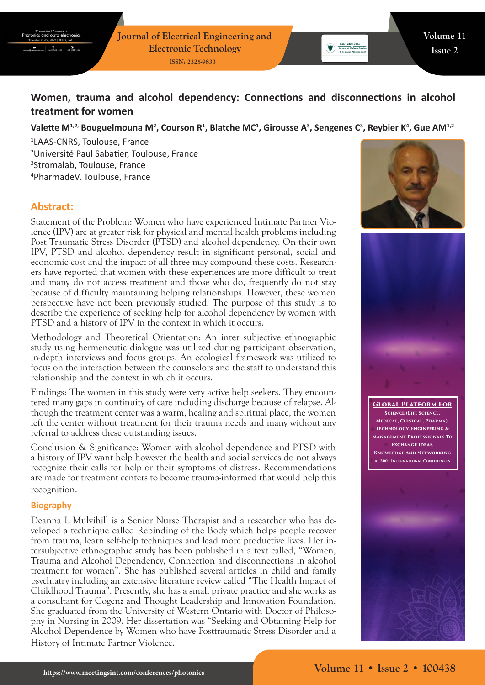# **Women, trauma and alcohol dependency: Connections and disconnections in alcohol treatment for women**

#### Valette M<sup>1,2,</sup> Bouguelmouna M<sup>2</sup>, Courson R<sup>1</sup>, Blatche MC<sup>1</sup>, Girousse A<sup>3</sup>, Sengenes C<sup>3</sup>, Reybier K<sup>4</sup>, Gue AM<sup>1,2</sup>

 LAAS-CNRS, Toulouse, France Université Paul Sabatier, Toulouse, France Stromalab, Toulouse, France PharmadeV, Toulouse, France

## **Abstract:**

Statement of the Problem: Women who have experienced Intimate Partner Violence (IPV) are at greater risk for physical and mental health problems including Post Traumatic Stress Disorder (PTSD) and alcohol dependency. On their own IPV, PTSD and alcohol dependency result in significant personal, social and economic cost and the impact of all three may compound these costs. Researchers have reported that women with these experiences are more difficult to treat and many do not access treatment and those who do, frequently do not stay because of difficulty maintaining helping relationships. However, these women perspective have not been previously studied. The purpose of this study is to describe the experience of seeking help for alcohol dependency by women with PTSD and a history of IPV in the context in which it occurs.

Methodology and Theoretical Orientation: An inter subjective ethnographic study using hermeneutic dialogue was utilized during participant observation, in-depth interviews and focus groups. An ecological framework was utilized to focus on the interaction between the counselors and the staff to understand this relationship and the context in which it occurs.

Findings: The women in this study were very active help seekers. They encountered many gaps in continuity of care including discharge because of relapse. Although the treatment center was a warm, healing and spiritual place, the women left the center without treatment for their trauma needs and many without any referral to address these outstanding issues.

Conclusion & Significance: Women with alcohol dependence and PTSD with a history of IPV want help however the health and social services do not always recognize their calls for help or their symptoms of distress. Recommendations are made for treatment centers to become trauma-informed that would help this recognition.

#### **Biography**

Deanna L Mulvihill is a Senior Nurse Therapist and a researcher who has developed a technique called Rebinding of the Body which helps people recover from trauma, learn self-help techniques and lead more productive lives. Her intersubjective ethnographic study has been published in a text called, "Women, Trauma and Alcohol Dependency, Connection and disconnections in alcohol treatment for women". She has published several articles in child and family psychiatry including an extensive literature review called "The Health Impact of Childhood Trauma". Presently, she has a small private practice and she works as a consultant for Cogenz and Thought Leadership and Innovation Foundation. She graduated from the University of Western Ontario with Doctor of Philosophy in Nursing in 2009. Her dissertation was "Seeking and Obtaining Help for Alcohol Dependence by Women who have Posttraumatic Stress Disorder and a History of Intimate Partner Violence.



 $\begin{tabular}{|c|c|} \hline & ISBN: 2324-9315 \\ \hline \hline \textbf{Journal of Defense 5} \\ \hline \end{tabular}$ 



**Global Platform For Science (Life Science, Medical, Clinical, Pharma), Technology, Engineering & Management Professionals To Exchange Ideas, Knowledge And Networking At 300+ International Conferences**